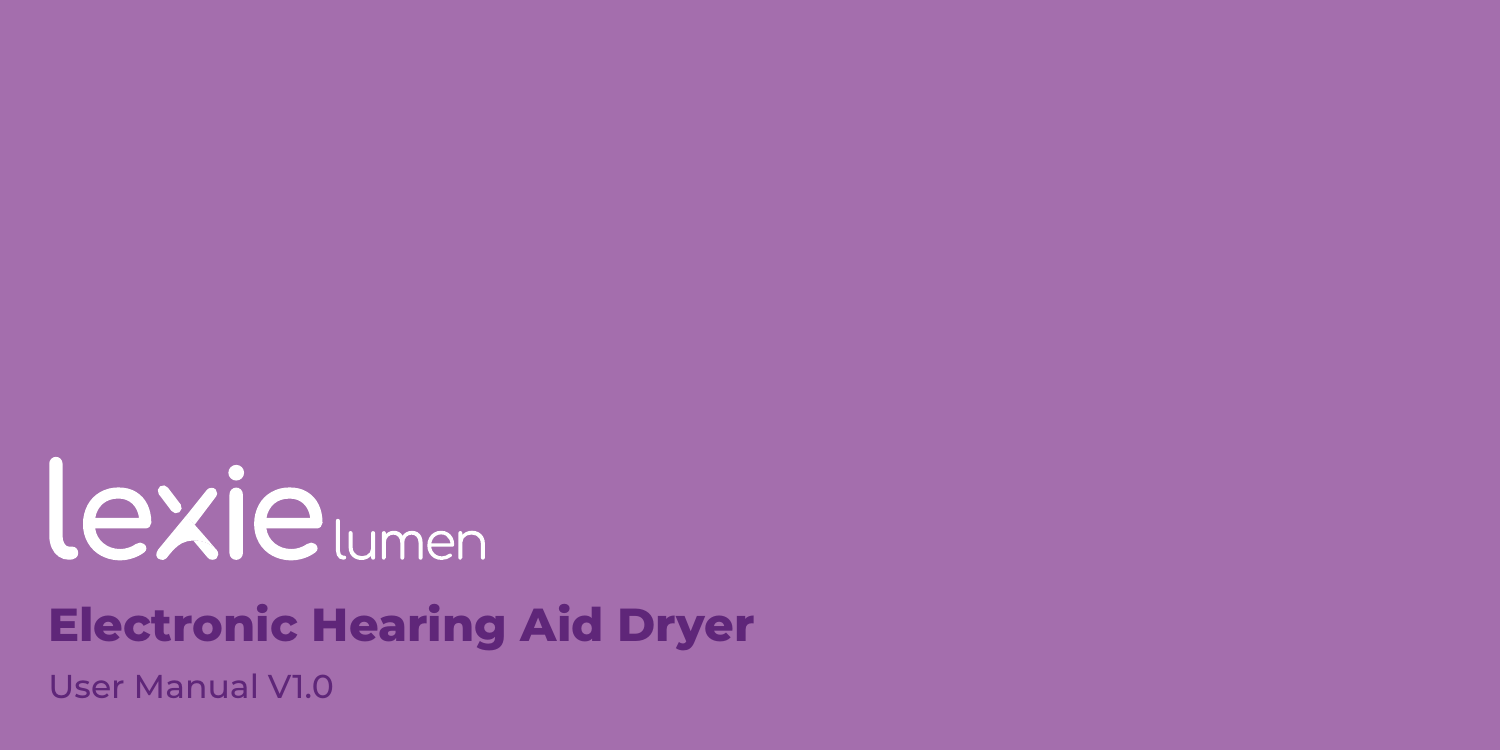# **lexie**lumen

### **Electronic Hearing Aid Dryer**

User Manual V1.0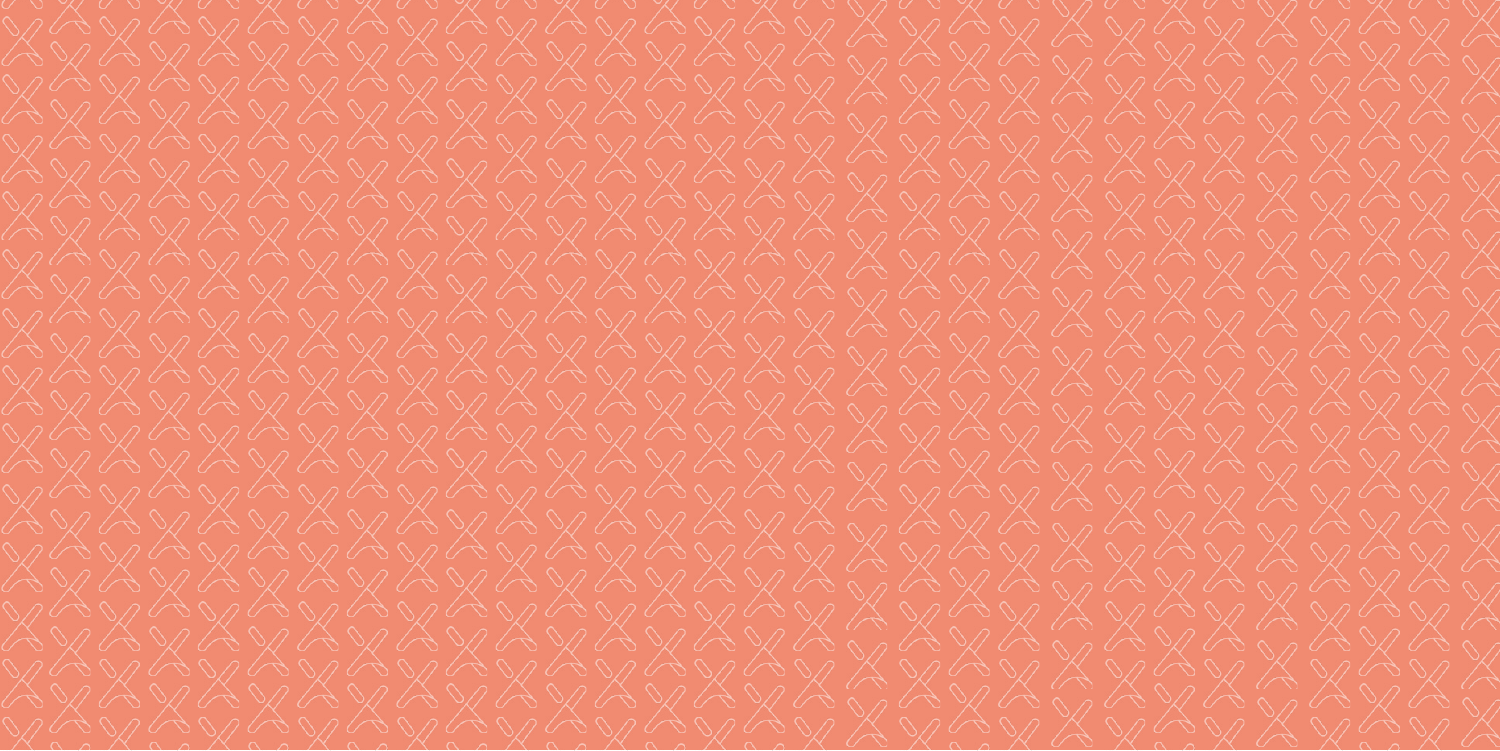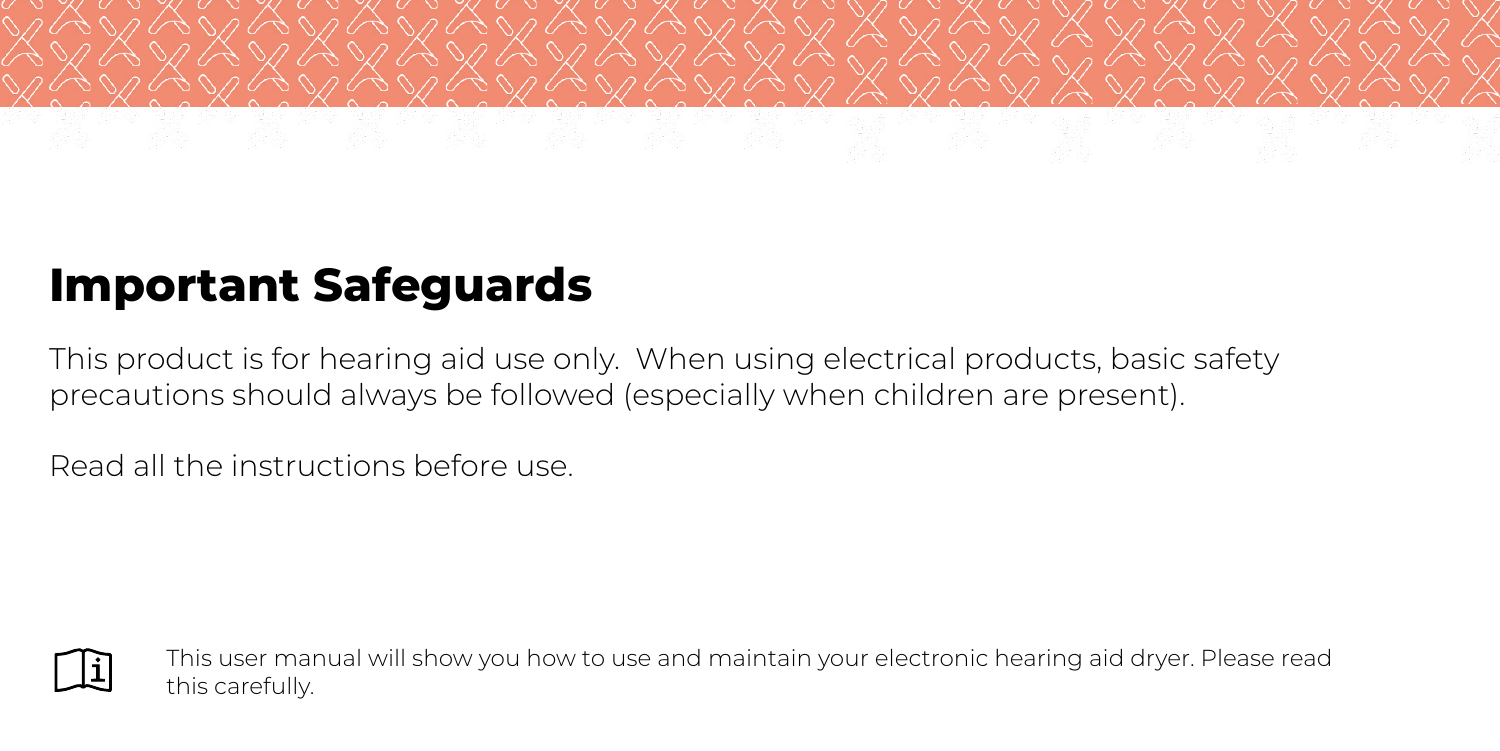## **Important Safeguards**

This product is for hearing aid use only. When using electrical products, basic safety precautions should always be followed (especially when children are present).

Read all the instructions before use.



This user manual will show you how to use and maintain your electronic hearing aid dryer. Please read this carefully.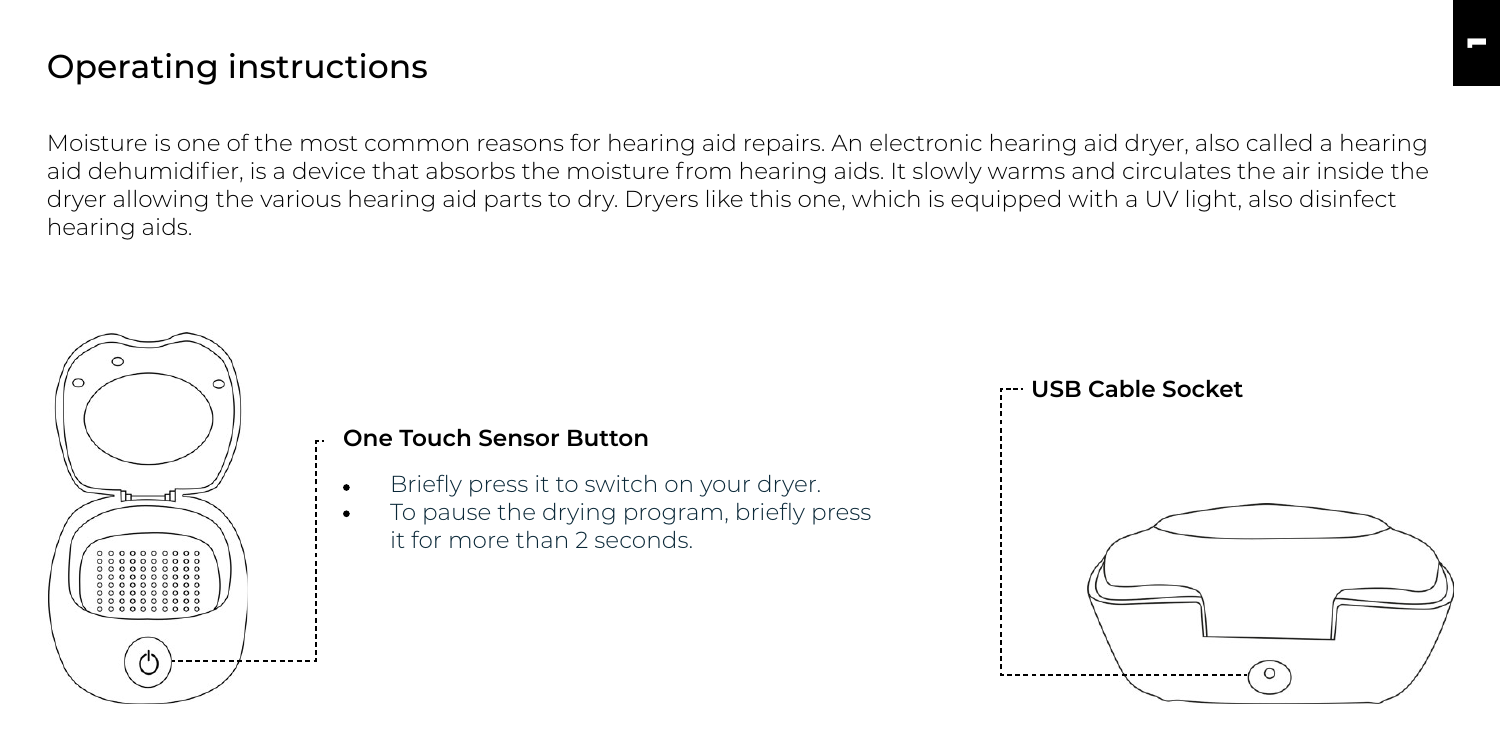#### Operating instructions

Moisture is one of the most common reasons for hearing aid repairs. An electronic hearing aid dryer, also called a hearing aid dehumidifier, is a device that absorbs the moisture from hearing aids. It slowly warms and circulates the air inside the dryer allowing the various hearing aid parts to dry. Dryers like this one, which is equipped with a UV light, also disinfect hearing aids.



#### **One Touch Sensor Button**

- Briefly press it to switch on your dryer.
- To pause the drying program, briefly press it for more than 2 seconds.

#### **USB Cable Socket**

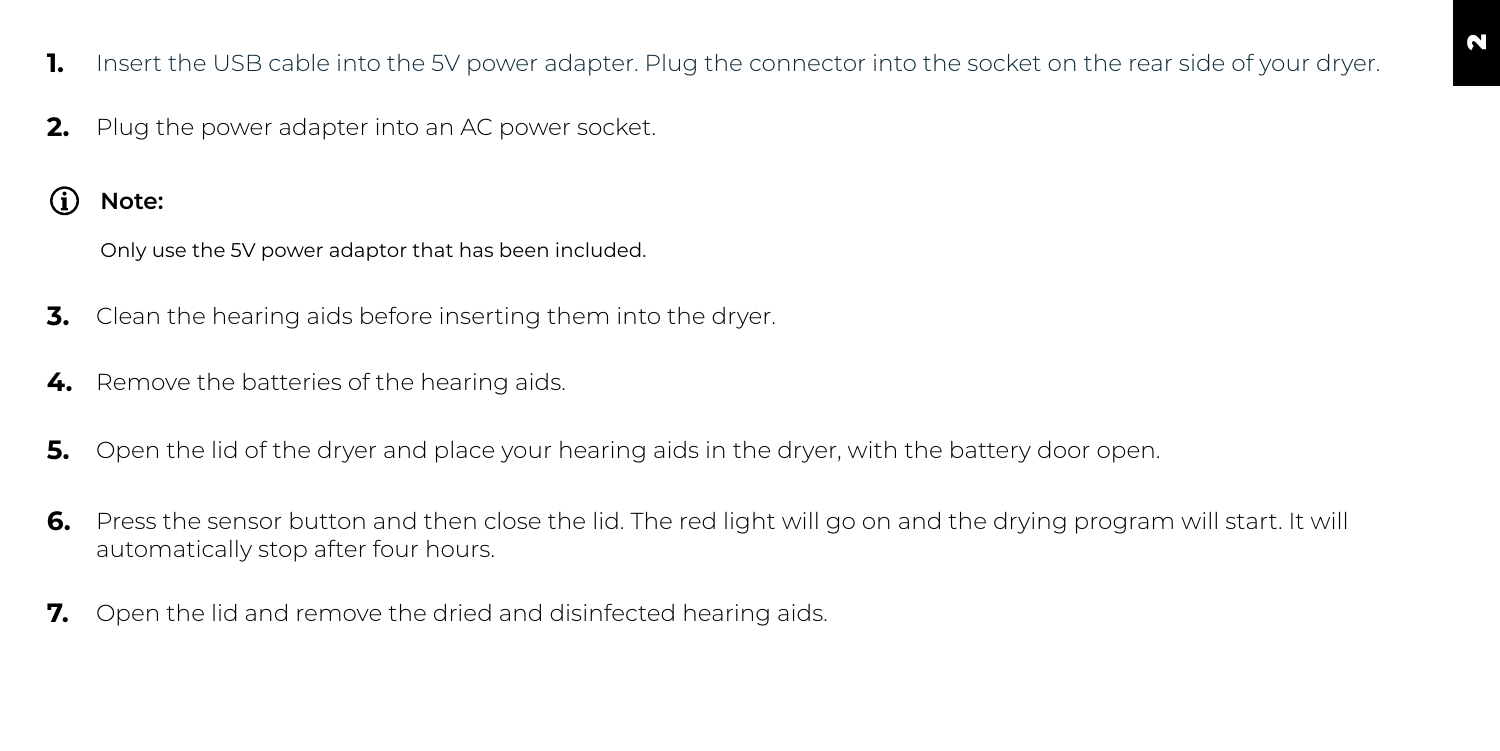- Insert the USB cable into the 5V power adapter. Plug the connector into the socket on the rear side of your dryer. **1.**
- Plug the power adapter into an AC power socket. **2.**

#### **Note:**

Only use the 5V power adaptor that has been included.

- Clean the hearing aids before inserting them into the dryer. **3.**
- 4. Remove the batteries of the hearing aids.
- Open the lid of the dryer and place your hearing aids in the dryer, with the battery door open. **5.**
- Press the sensor button and then close the lid. The red light will go on and the drying program will start. It will **6.** automatically stop after four hours.
- Open the lid and remove the dried and disinfected hearing aids. **7.**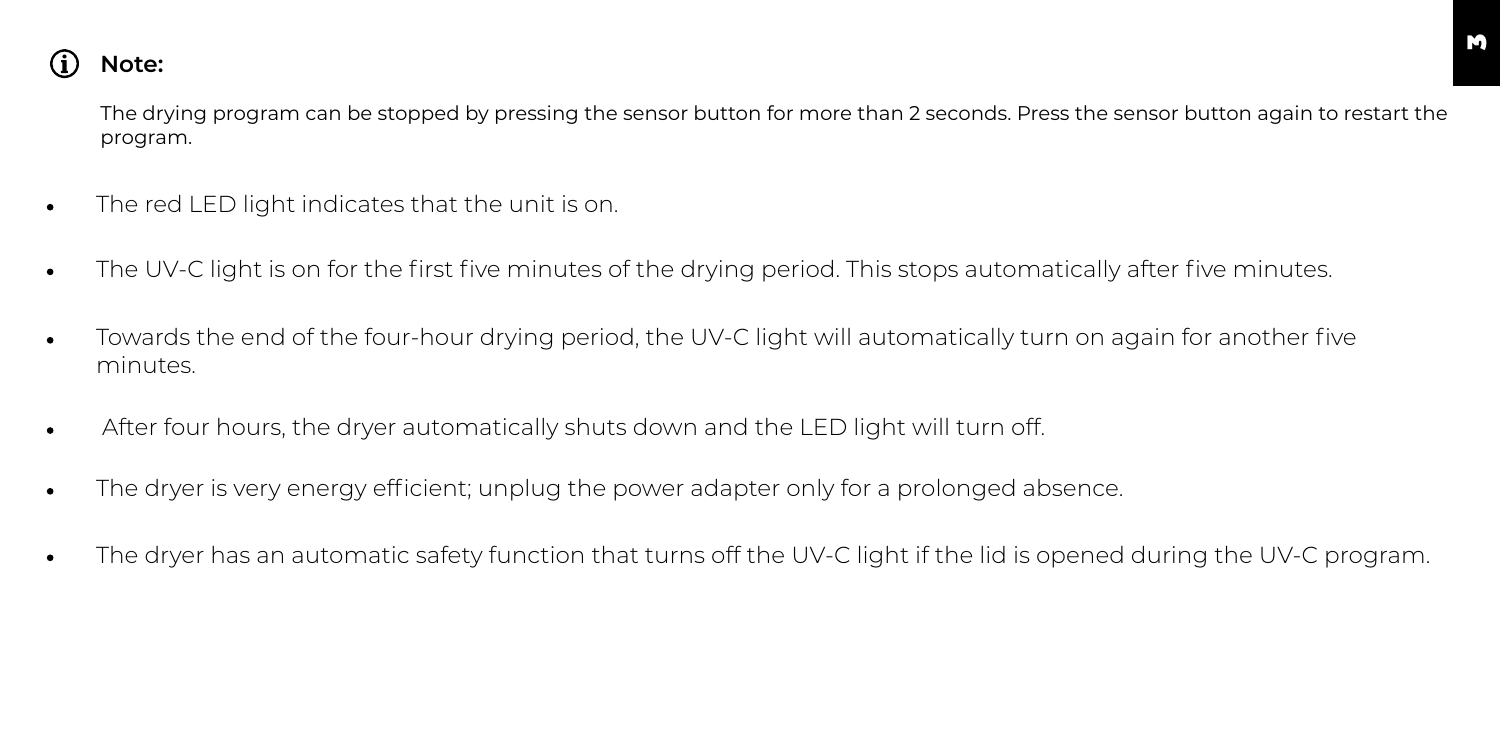#### **Note:**

The drying program can be stopped by pressing the sensor button for more than 2 seconds. Press the sensor button again to restart the program.

- The red LED light indicates that the unit is on.  $\bullet$
- The UV-C light is on for the first five minutes of the drying period. This stops automatically after five minutes.
- Towards the end of the four-hour drying period, the UV-C light will automatically turn on again for another five minutes.
- After four hours, the dryer automatically shuts down and the LED light will turn off.  $\bullet$
- The dryer is very energy efficient; unplug the power adapter only for a prolonged absence.
- The dryer has an automatic safety function that turns off the UV-C light if the lid is opened during the UV-C program.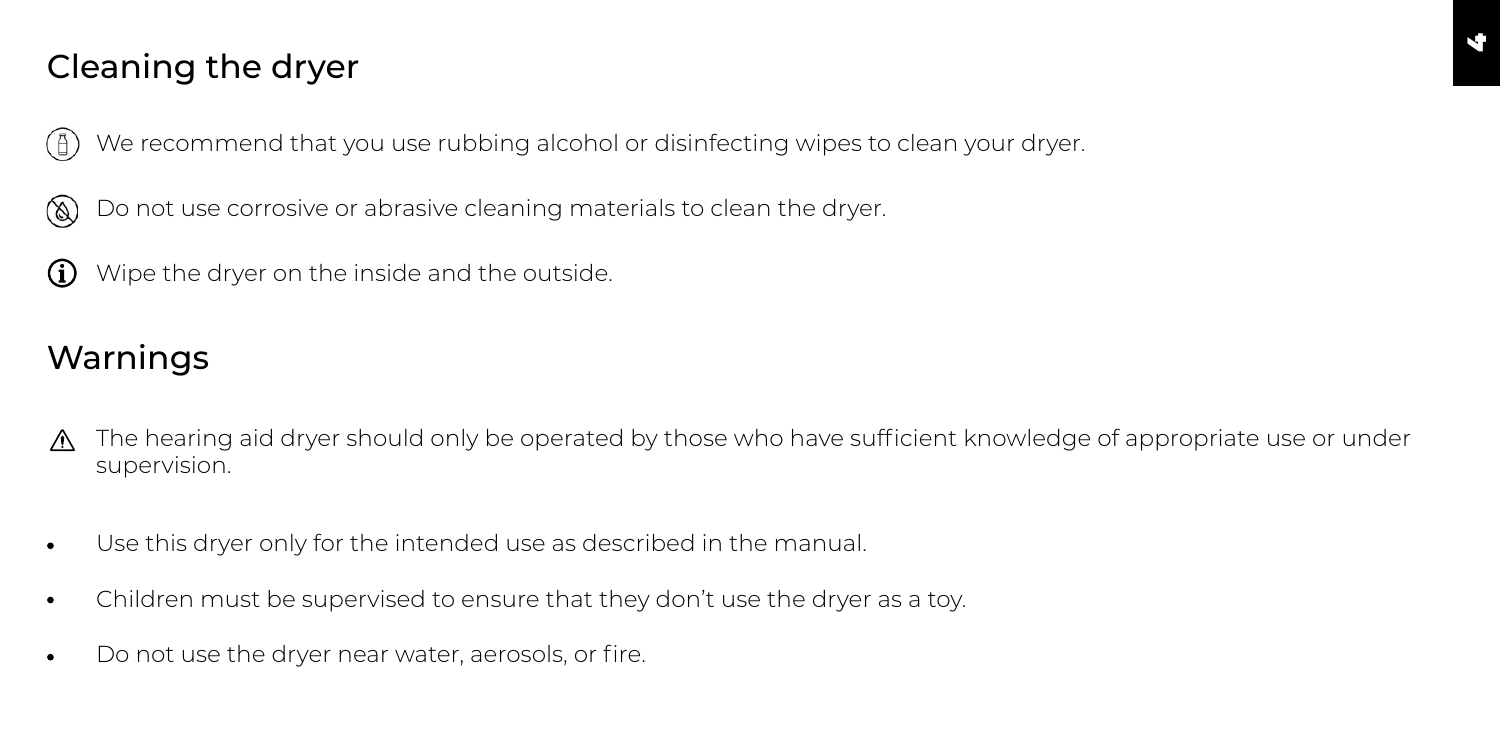#### Cleaning the dryer

We recommend that you use rubbing alcohol or disinfecting wipes to clean your dryer.

⋒ Do not use corrosive or abrasive cleaning materials to clean the dryer.

 $\Omega$ Wipe the dryer on the inside and the outside.

#### Warnings

- The hearing aid dryer should only be operated by those who have sufficient knowledge of appropriate use or under ∧ supervision.
- Use this dryer only for the intended use as described in the manual.  $\bullet$
- Children must be supervised to ensure that they don't use the dryer as a toy.
- Do not use the dryer near water, aerosols, or fire.  $\bullet$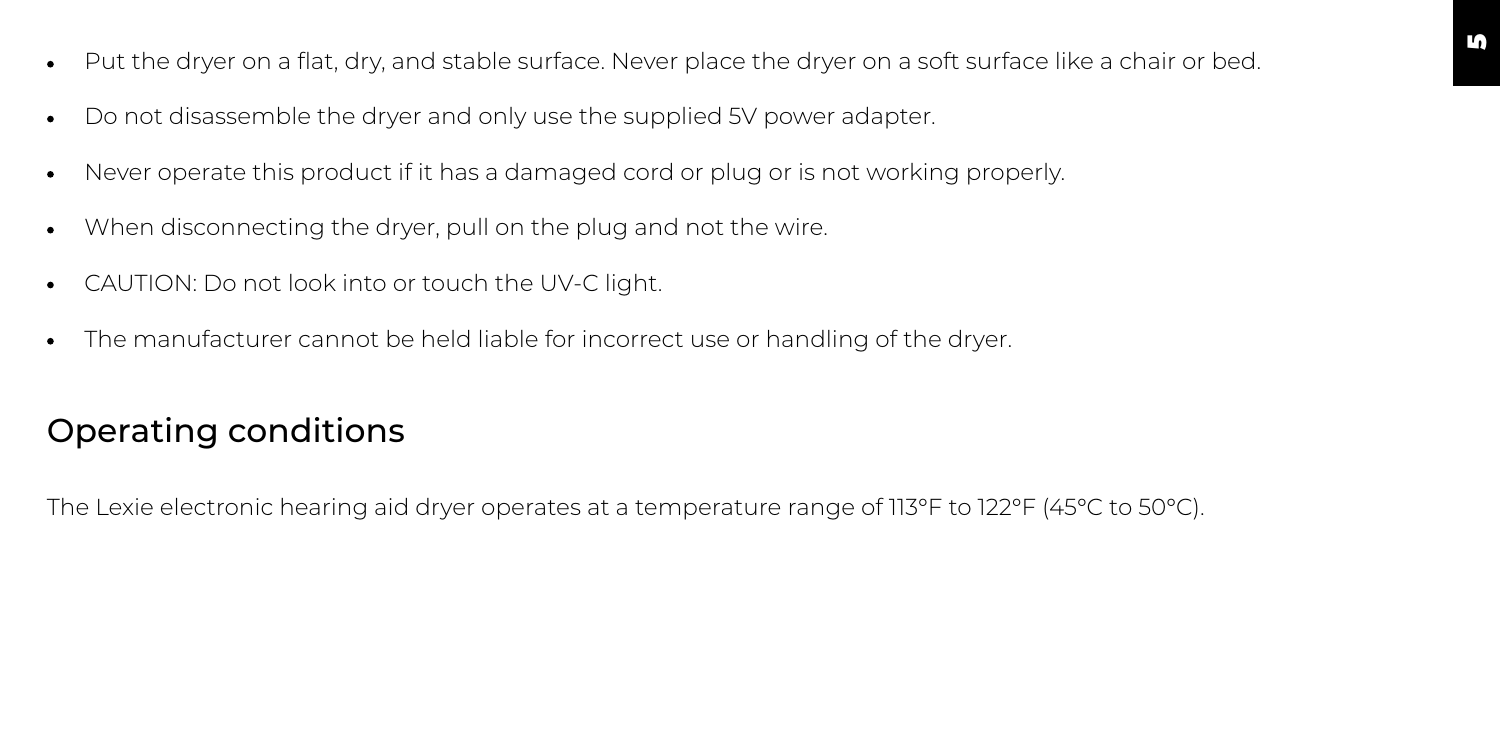- Put the dryer on a flat, dry, and stable surface. Never place the dryer on a soft surface like a chair or bed.  $\bullet$
- Do not disassemble the dryer and only use the supplied 5V power adapter.  $\bullet$
- Never operate this product if it has a damaged cord or plug or is not working properly.  $\bullet$
- When disconnecting the dryer, pull on the plug and not the wire.  $\bullet$
- CAUTION: Do not look into or touch the UV-C light.  $\bullet$
- The manufacturer cannot be held liable for incorrect use or handling of the dryer.  $\bullet$

#### Operating conditions

The Lexie electronic hearing aid dryer operates at a temperature range of 113°F to 122°F (45°C to 50°C).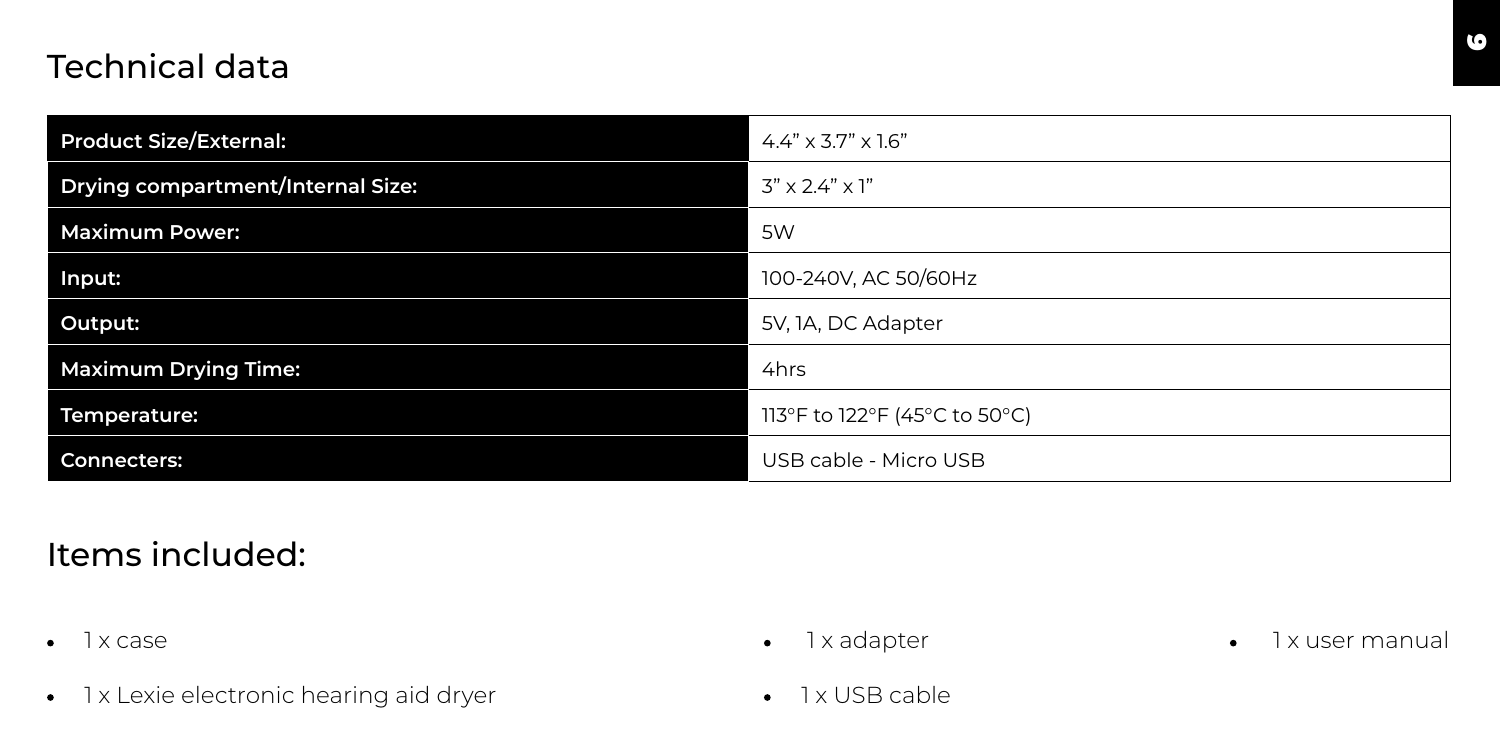#### Technical data

| <b>Product Size/External:</b>     | $4.4" \times 3.7" \times 1.6"$ |
|-----------------------------------|--------------------------------|
| Drying compartment/Internal Size: | $3" \times 2.4" \times 1"$     |
| Maximum Power:                    | 5W                             |
| Input:                            | 100-240V, AC 50/60Hz           |
| Output:                           | 5V, 1A, DC Adapter             |
| Maximum Drying Time:              | 4hrs                           |
| Temperature:                      | 113°F to 122°F (45°C to 50°C)  |
| Connecters:                       | USB cable - Micro USB          |

#### Items included:

- $\bullet$
- 1 x Lexie electronic hearing aid dryer
- 1 x case 1 x user manual 1 x adapter
	- $\cdot$  1 x USB cable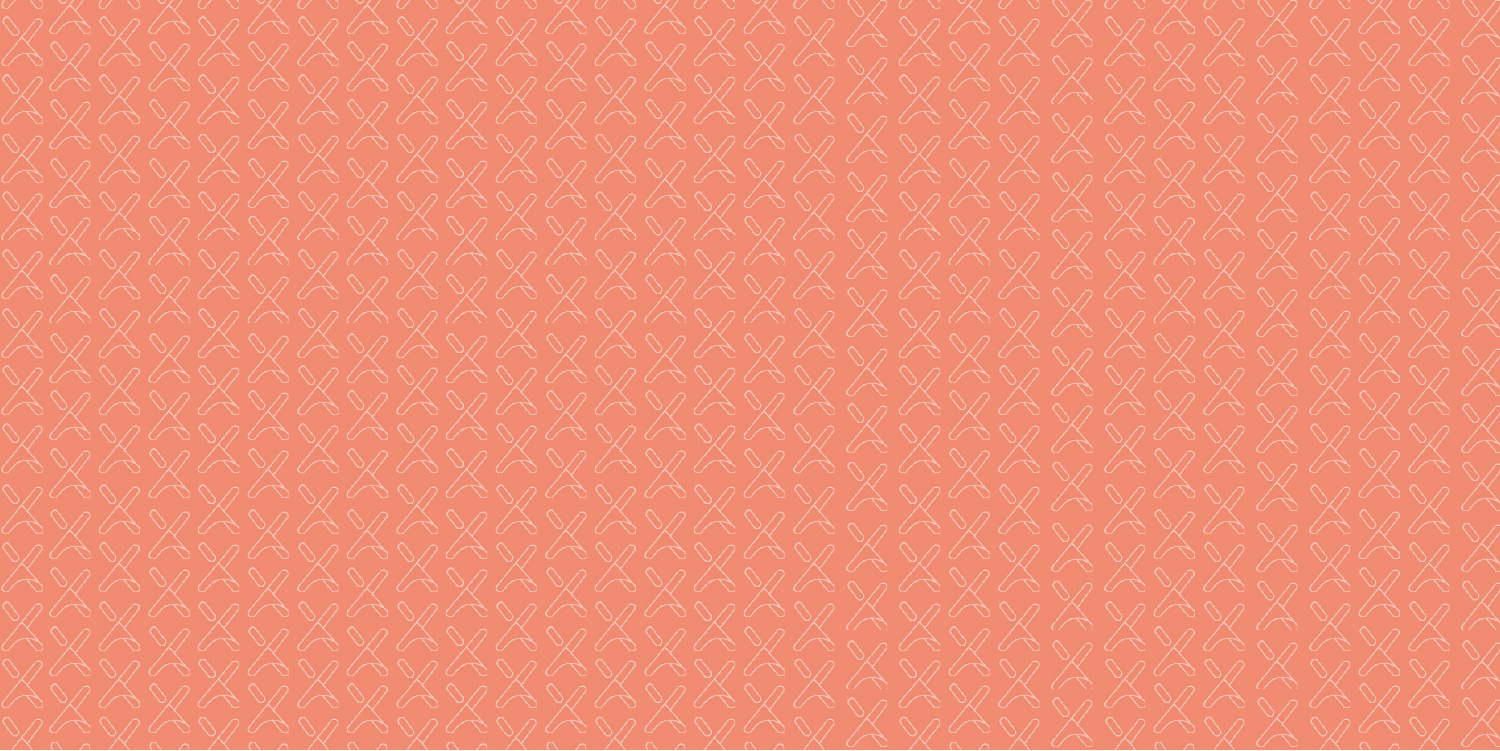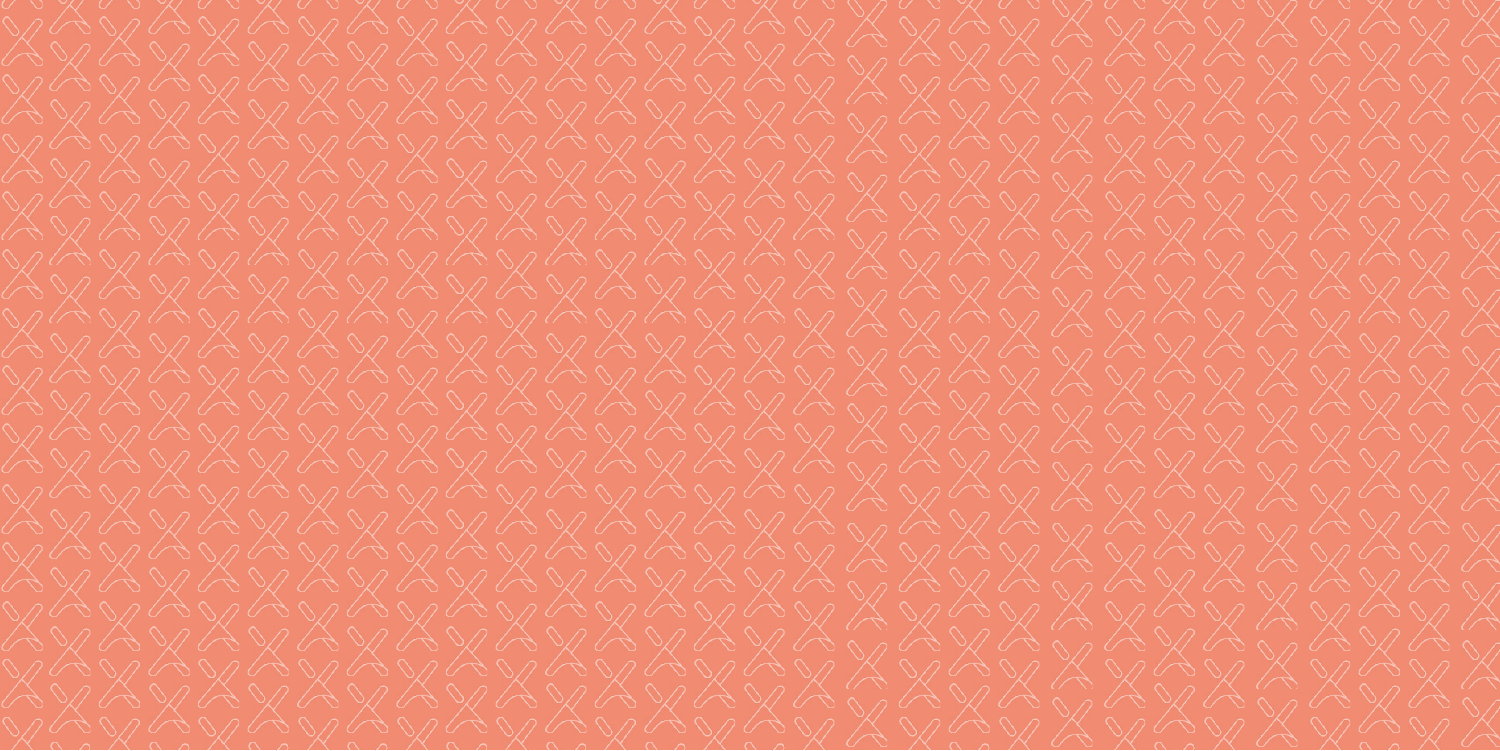![](_page_10_Picture_0.jpeg)